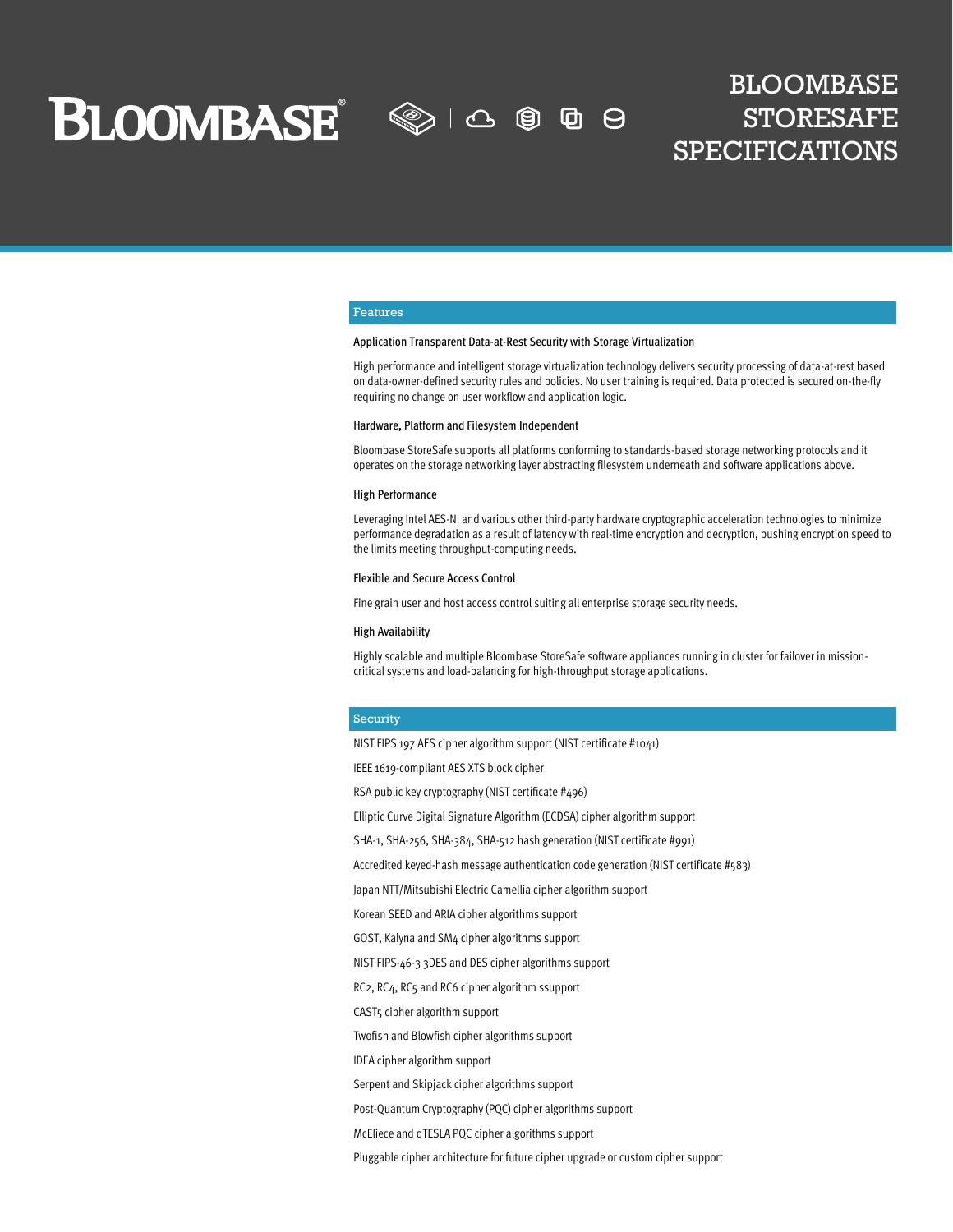**BLOOMBASE** 

 $\textcircled{\tiny\!}$  1  $\textcircled{\tiny\!}$ 囱 ⊕  $\Theta$ 

## BLOOMBASE STORESAFE SPECIFICATIONS

#### Features

#### Application Transparent Data-at-Rest Security with Storage Virtualization

High performance and intelligent storage virtualization technology delivers security processing of data-at-rest based on data-owner-defined security rules and policies. No user training is required. Data protected is secured on-the-fly requiring no change on user workflow and application logic.

#### Hardware, Platform and Filesystem Independent

Bloombase StoreSafe supports all platforms conforming to standards-based storage networking protocols and it operates on the storage networking layer abstracting filesystem underneath and software applications above.

#### High Performance

Leveraging Intel AES-NI and various other third-party hardware cryptographic acceleration technologies to minimize performance degradation as a result of latency with real-time encryption and decryption, pushing encryption speed to the limits meeting throughput-computing needs.

#### Flexible and Secure Access Control

Fine grain user and host access control suiting all enterprise storage security needs.

#### High Availability

Highly scalable and multiple Bloombase StoreSafe software appliances running in cluster for failover in missioncritical systems and load-balancing for high-throughput storage applications.

#### Security

NIST FIPS 197 AES cipher algorithm support (NIST certificate #1041)

IEEE 1619-compliant AES XTS block cipher

RSA public key cryptography (NIST certificate #496)

Elliptic Curve Digital Signature Algorithm (ECDSA) cipher algorithm support

SHA-1, SHA-256, SHA-384, SHA-512 hash generation (NIST certificate #991)

Accredited keyed-hash message authentication code generation (NIST certificate #583)

Japan NTT/Mitsubishi Electric Camellia cipher algorithm support

Korean SEED and ARIA cipher algorithms support

GOST, Kalyna and SM4 cipher algorithms support

NIST FIPS-46-3 3DES and DES cipher algorithms support

RC2, RC4, RC5 and RC6 cipher algorithm ssupport

CAST5 cipher algorithm support

Twofish and Blowfish cipher algorithms support

IDEA cipher algorithm support

Serpent and Skipjack cipher algorithms support

Post-Quantum Cryptography (PQC) cipher algorithms support

McEliece and qTESLA PQC cipher algorithms support

Pluggable cipher architecture for future cipher upgrade or custom cipher support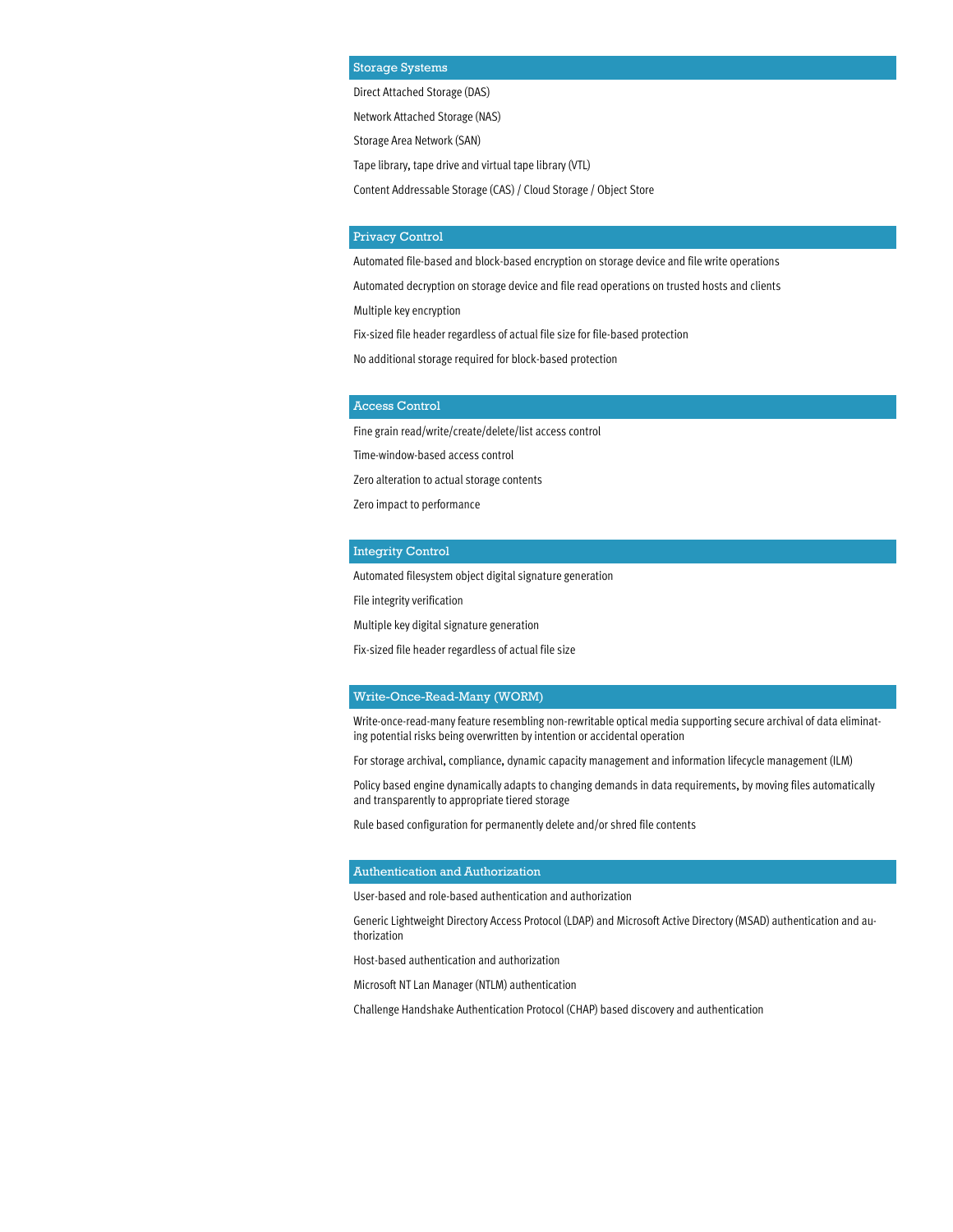#### Storage Systems

Direct Attached Storage (DAS)

Network Attached Storage (NAS)

Storage Area Network (SAN)

Tape library, tape drive and virtual tape library (VTL)

Content Addressable Storage (CAS) / Cloud Storage / Object Store

#### Privacy Control

Automated file-based and block-based encryption on storage device and file write operations

Automated decryption on storage device and file read operations on trusted hosts and clients

Multiple key encryption

Fix-sized file header regardless of actual file size for file-based protection

No additional storage required for block-based protection

#### Access Control

Fine grain read/write/create/delete/list access control

Time-window-based access control

Zero alteration to actual storage contents

Zero impact to performance

#### Integrity Control

Automated filesystem object digital signature generation

File integrity verification

Multiple key digital signature generation

Fix-sized file header regardless of actual file size

#### Write-Once-Read-Many (WORM)

Write-once-read-many feature resembling non-rewritable optical media supporting secure archival of data eliminating potential risks being overwritten by intention or accidental operation

For storage archival, compliance, dynamic capacity management and information lifecycle management (ILM)

Policy based engine dynamically adapts to changing demands in data requirements, by moving files automatically and transparently to appropriate tiered storage

Rule based configuration for permanently delete and/or shred file contents

#### Authentication and Authorization

User-based and role-based authentication and authorization

Generic Lightweight Directory Access Protocol (LDAP) and Microsoft Active Directory (MSAD) authentication and authorization

Host-based authentication and authorization

Microsoft NT Lan Manager (NTLM) authentication

Challenge Handshake Authentication Protocol (CHAP) based discovery and authentication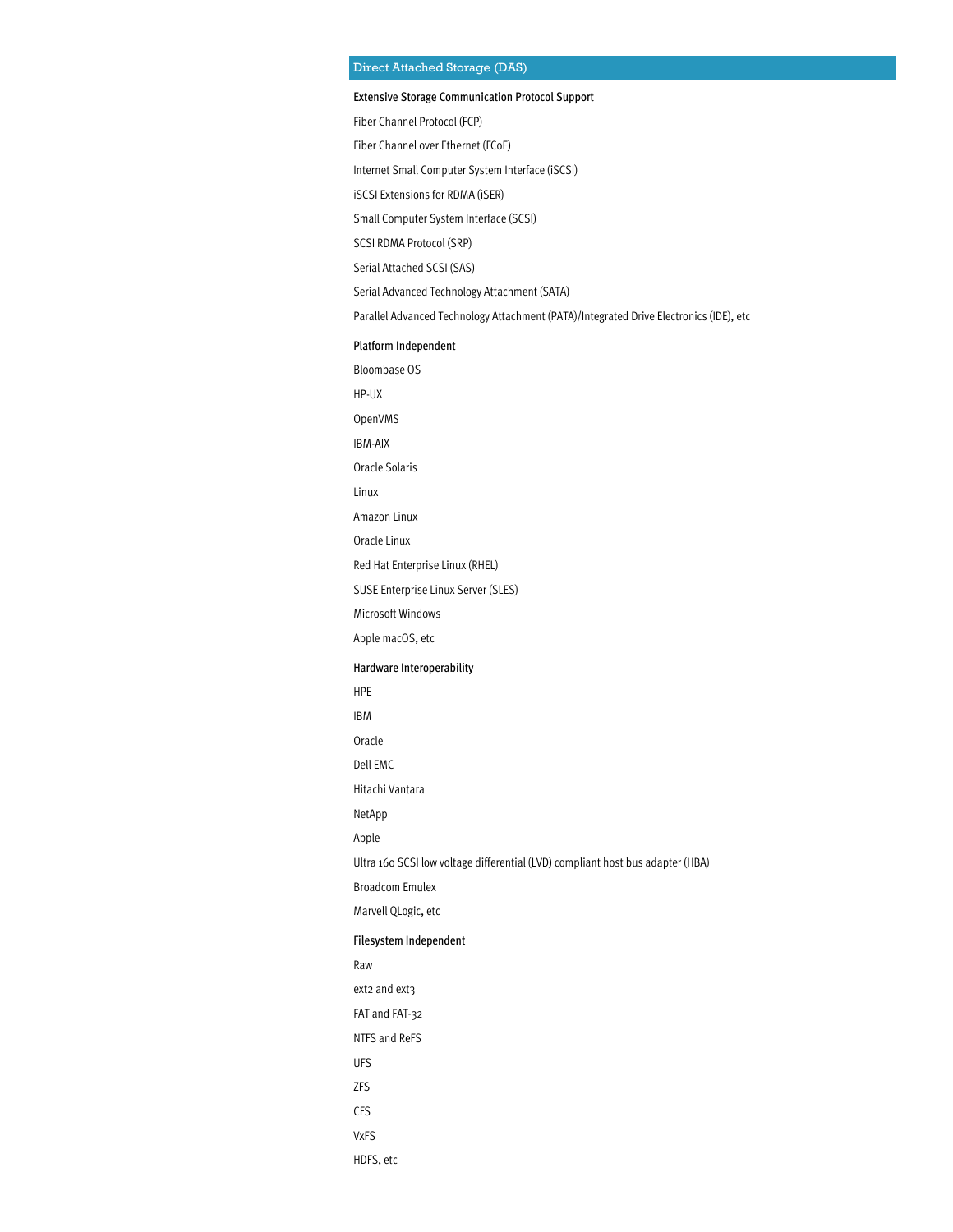#### Direct Attached Storage (DAS)

#### Extensive Storage Communication Protocol Support

Fiber Channel Protocol (FCP)

Fiber Channel over Ethernet (FCoE)

Internet Small Computer System Interface (iSCSI)

iSCSI Extensions for RDMA (iSER)

Small Computer System Interface (SCSI)

SCSI RDMA Protocol (SRP)

Serial Attached SCSI (SAS)

Serial Advanced Technology Attachment (SATA)

Parallel Advanced Technology Attachment (PATA)/Integrated Drive Electronics (IDE), etc

#### Platform Independent

Bloombase OS

HP-UX

OpenVMS

IBM-AIX

Oracle Solaris

Linux

Amazon Linux

Oracle Linux

Red Hat Enterprise Linux (RHEL)

SUSE Enterprise Linux Server (SLES)

Microsoft Windows

Apple macOS, etc

#### Hardware Interoperability

HPE

IBM

Oracle

Dell EMC

Hitachi Vantara

NetApp

Apple

Ultra 160 SCSI low voltage differential (LVD) compliant host bus adapter (HBA)

Broadcom Emulex

Marvell QLogic, etc

#### Filesystem Independent

Raw

ext2 and ext3

FAT and FAT-32

NTFS and ReFS

- UFS
- ZFS

CFS

VxFS

HDFS, etc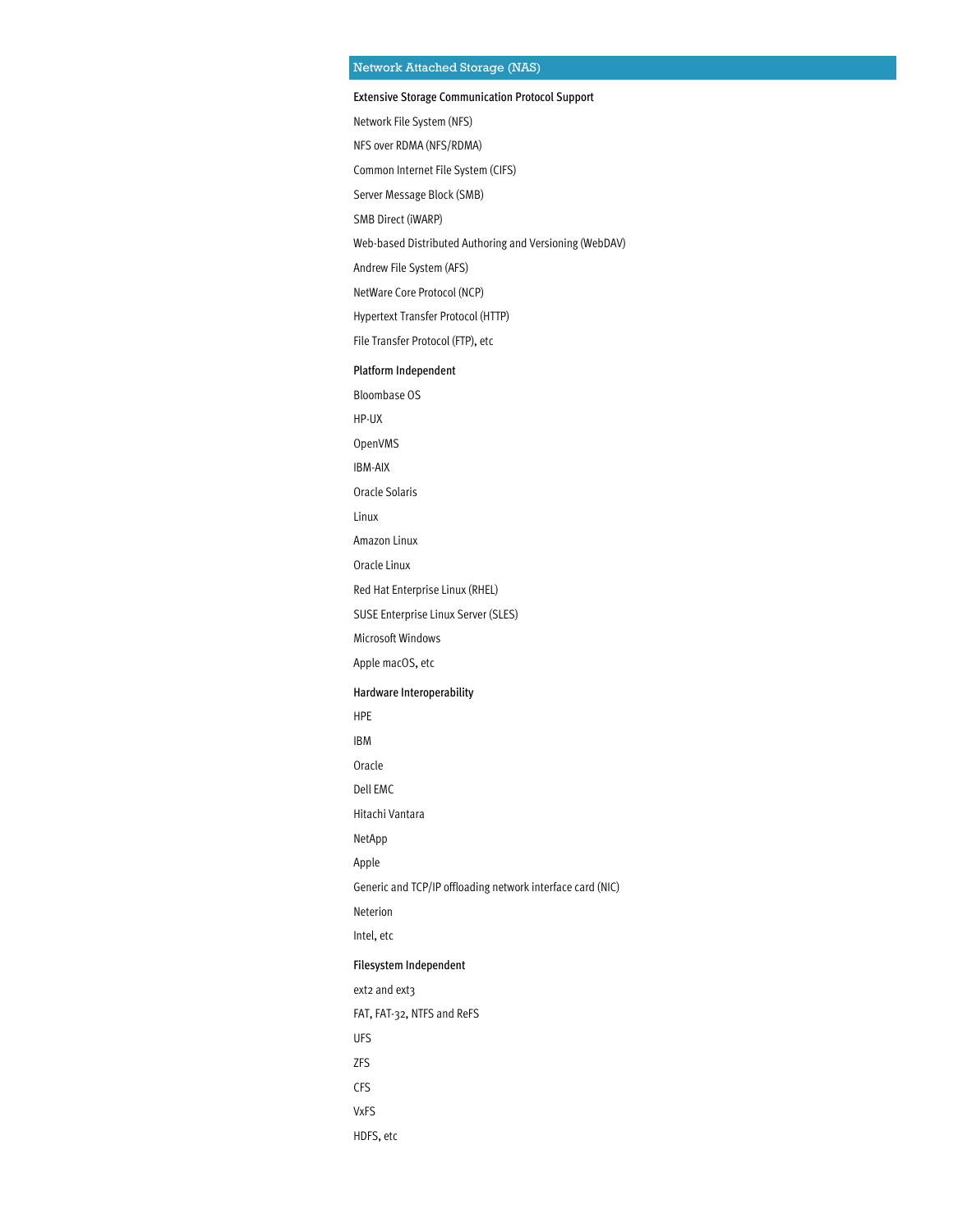### Network Attached Storage (NAS)

#### Extensive Storage Communication Protocol Support

Network File System (NFS)

NFS over RDMA (NFS/RDMA)

Common Internet File System (CIFS)

Server Message Block (SMB)

SMB Direct (iWARP)

Web-based Distributed Authoring and Versioning (WebDAV)

Andrew File System (AFS)

NetWare Core Protocol (NCP)

Hypertext Transfer Protocol (HTTP)

File Transfer Protocol (FTP), etc

#### Platform Independent

Bloombase OS

HP-UX

OpenVMS

IBM-AIX

Oracle Solaris

Linux

Amazon Linux

Oracle Linux

Red Hat Enterprise Linux (RHEL)

SUSE Enterprise Linux Server (SLES)

Microsoft Windows

Apple macOS, etc

#### Hardware Interoperability

HPE

IBM

Oracle

Dell EMC

Hitachi Vantara

NetApp

Apple

Generic and TCP/IP offloading network interface card (NIC)

Neterion

Intel, etc

#### Filesystem Independent

ext2 and ext3

FAT, FAT-32, NTFS and ReFS

UFS

ZFS

CFS

VxFS

HDFS, etc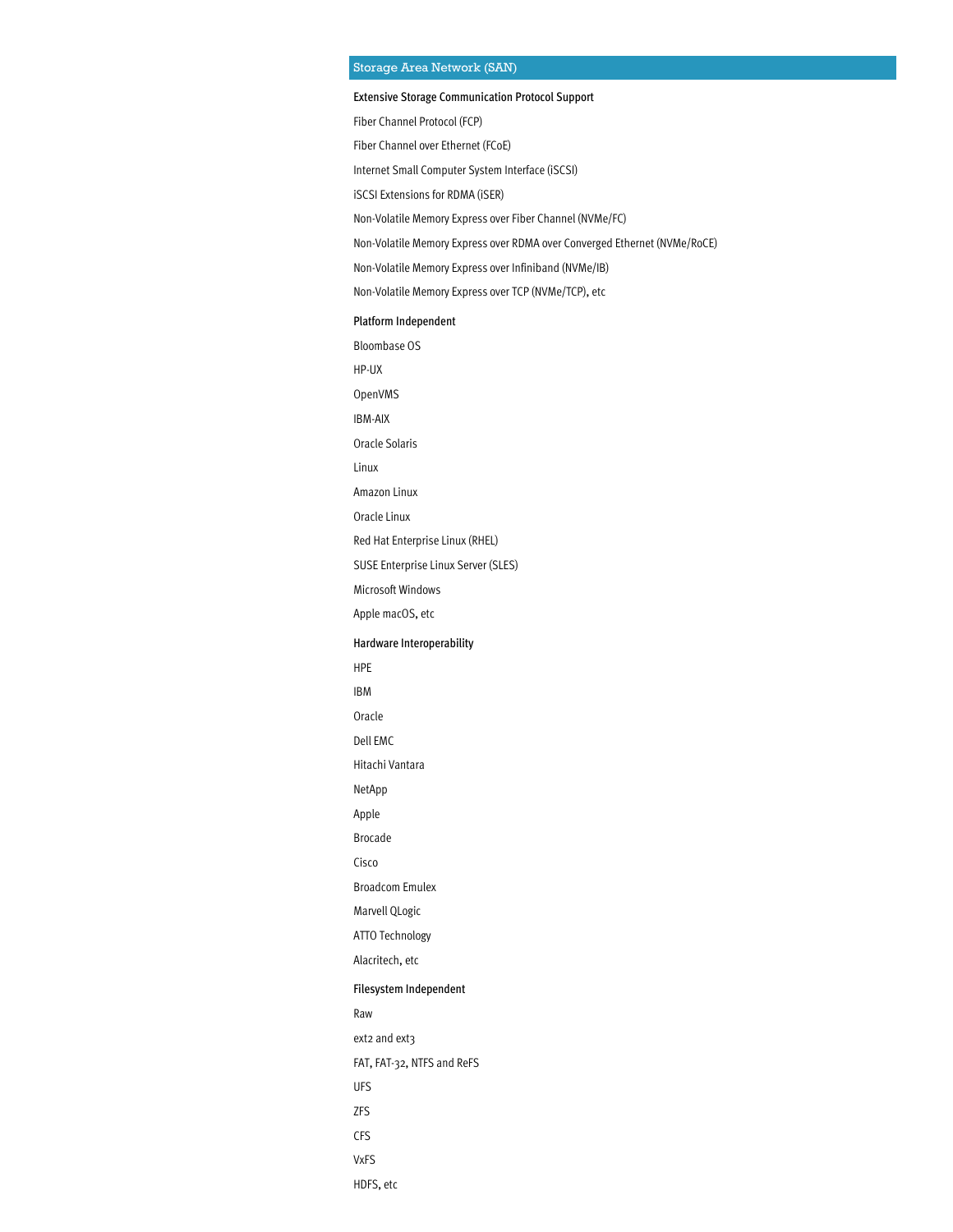#### Storage Area Network (SAN)

#### Extensive Storage Communication Protocol Support

Fiber Channel Protocol (FCP)

Fiber Channel over Ethernet (FCoE)

Internet Small Computer System Interface (iSCSI)

iSCSI Extensions for RDMA (iSER)

Non-Volatile Memory Express over Fiber Channel (NVMe/FC)

Non-Volatile Memory Express over RDMA over Converged Ethernet (NVMe/RoCE)

Non-Volatile Memory Express over Infiniband (NVMe/IB)

Non-Volatile Memory Express over TCP (NVMe/TCP), etc

Platform Independent Bloombase OS HP-UX OpenVMS IBM-AIX Oracle Solaris Linux Amazon Linux Oracle Linux Red Hat Enterprise Linux (RHEL) SUSE Enterprise Linux Server (SLES) Microsoft Windows Apple macOS, etc Hardware Interoperability HPE IBM Oracle Dell EMC Hitachi Vantara NetApp Apple Brocade Cisco

Broadcom Emulex

Marvell QLogic

ATTO Technology

Alacritech, etc

#### Filesystem Independent

Raw

ext2 and ext3

FAT, FAT-32, NTFS and ReFS

- UFS
- ZFS
- CFS

VxFS

HDFS, etc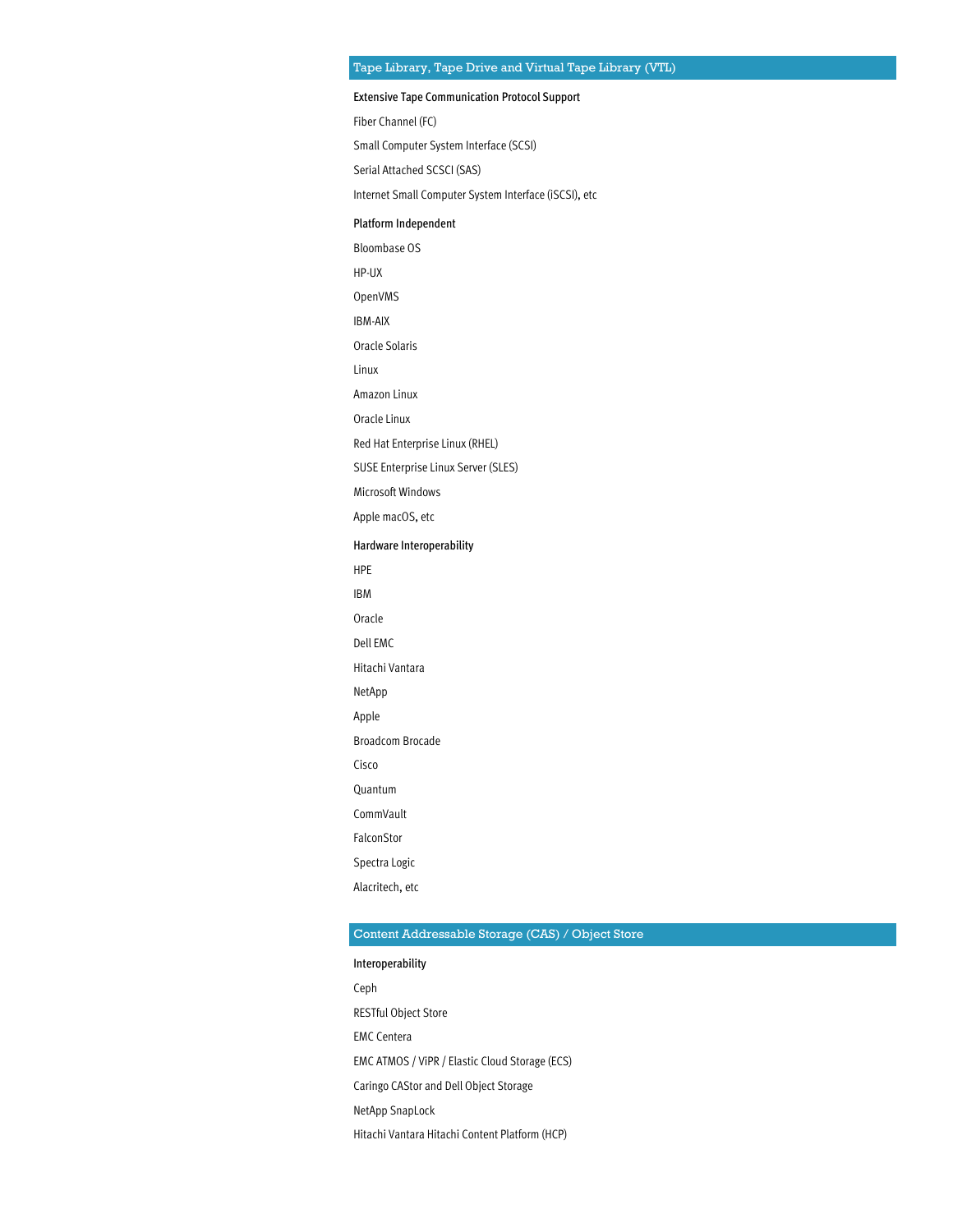#### Extensive Tape Communication Protocol Support

Fiber Channel (FC)

Small Computer System Interface (SCSI)

Serial Attached SCSCI (SAS)

Internet Small Computer System Interface (iSCSI), etc

#### Platform Independent

Bloombase OS

HP-UX

OpenVMS

IBM-AIX

Oracle Solaris

Linux

Amazon Linux

Oracle Linux

Red Hat Enterprise Linux (RHEL)

SUSE Enterprise Linux Server (SLES)

Microsoft Windows

Apple macOS, etc

#### Hardware Interoperability

HPE

IBM

Oracle

Dell EMC

Hitachi Vantara

NetApp

Apple

Broadcom Brocade

Cisco Quantum

CommVault

FalconStor

Spectra Logic

Alacritech, etc

#### Content Addressable Storage (CAS) / Object Store

Interoperability Ceph RESTful Object Store EMC Centera EMC ATMOS / ViPR / Elastic Cloud Storage (ECS) Caringo CAStor and Dell Object Storage NetApp SnapLock Hitachi Vantara Hitachi Content Platform (HCP)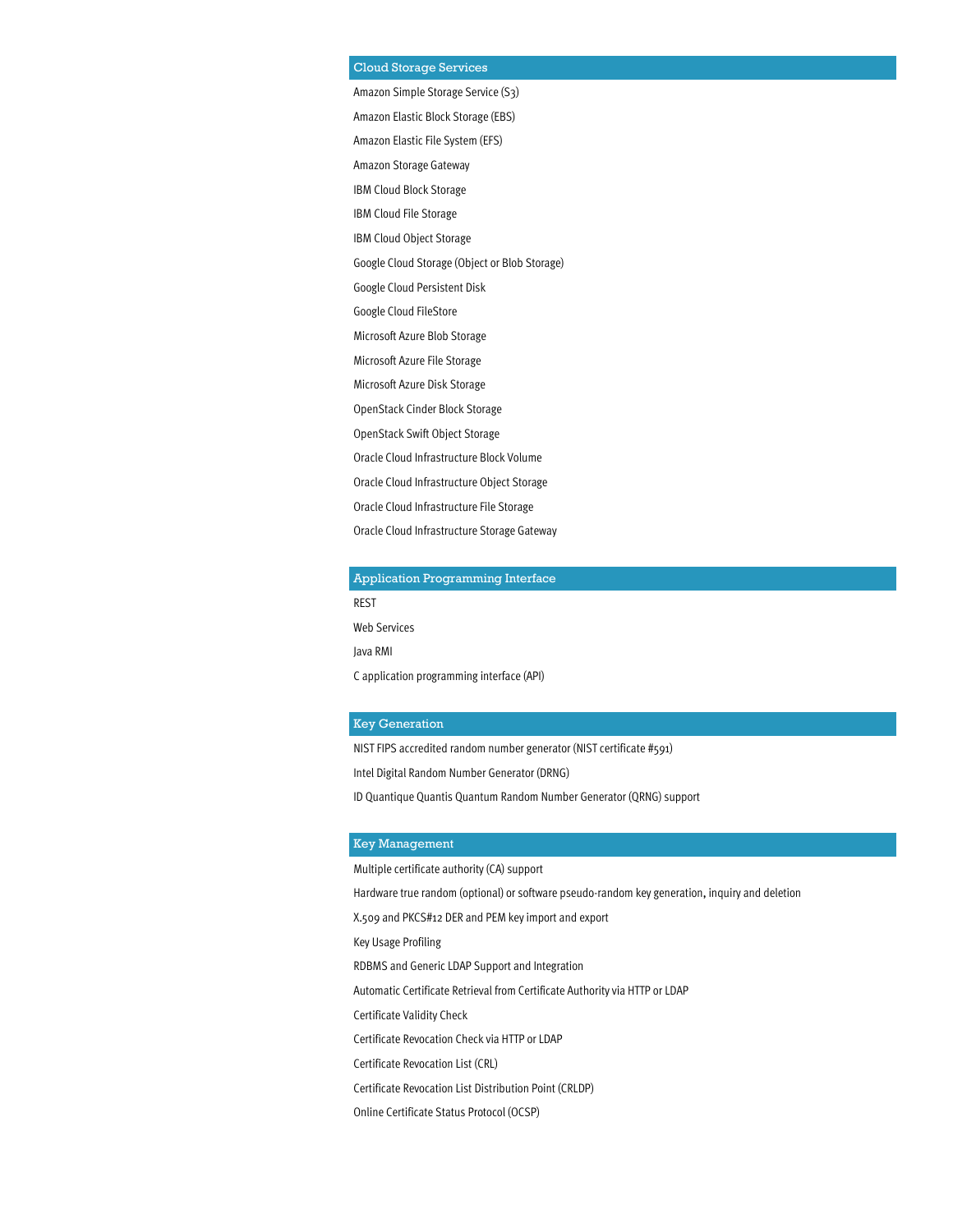#### Cloud Storage Services

Amazon Simple Storage Service (S3) Amazon Elastic Block Storage (EBS) Amazon Elastic File System (EFS) Amazon Storage Gateway IBM Cloud Block Storage IBM Cloud File Storage IBM Cloud Object Storage Google Cloud Storage (Object or Blob Storage) Google Cloud Persistent Disk Google Cloud FileStore Microsoft Azure Blob Storage Microsoft Azure File Storage Microsoft Azure Disk Storage OpenStack Cinder Block Storage OpenStack Swift Object Storage Oracle Cloud Infrastructure Block Volume Oracle Cloud Infrastructure Object Storage Oracle Cloud Infrastructure File Storage Oracle Cloud Infrastructure Storage Gateway

#### Application Programming Interface

REST

Web Services

Java RMI

C application programming interface (API)

#### Key Generation

NIST FIPS accredited random number generator (NIST certificate #591)

Intel Digital Random Number Generator (DRNG)

ID Quantique Quantis Quantum Random Number Generator (QRNG) support

#### Key Management

Multiple certificate authority (CA) support

Hardware true random (optional) or software pseudo-random key generation, inquiry and deletion

X.509 and PKCS#12 DER and PEM key import and export

Key Usage Profiling

RDBMS and Generic LDAP Support and Integration

Automatic Certificate Retrieval from Certificate Authority via HTTP or LDAP

Certificate Validity Check

Certificate Revocation Check via HTTP or LDAP

Certificate Revocation List (CRL)

Certificate Revocation List Distribution Point (CRLDP)

Online Certificate Status Protocol (OCSP)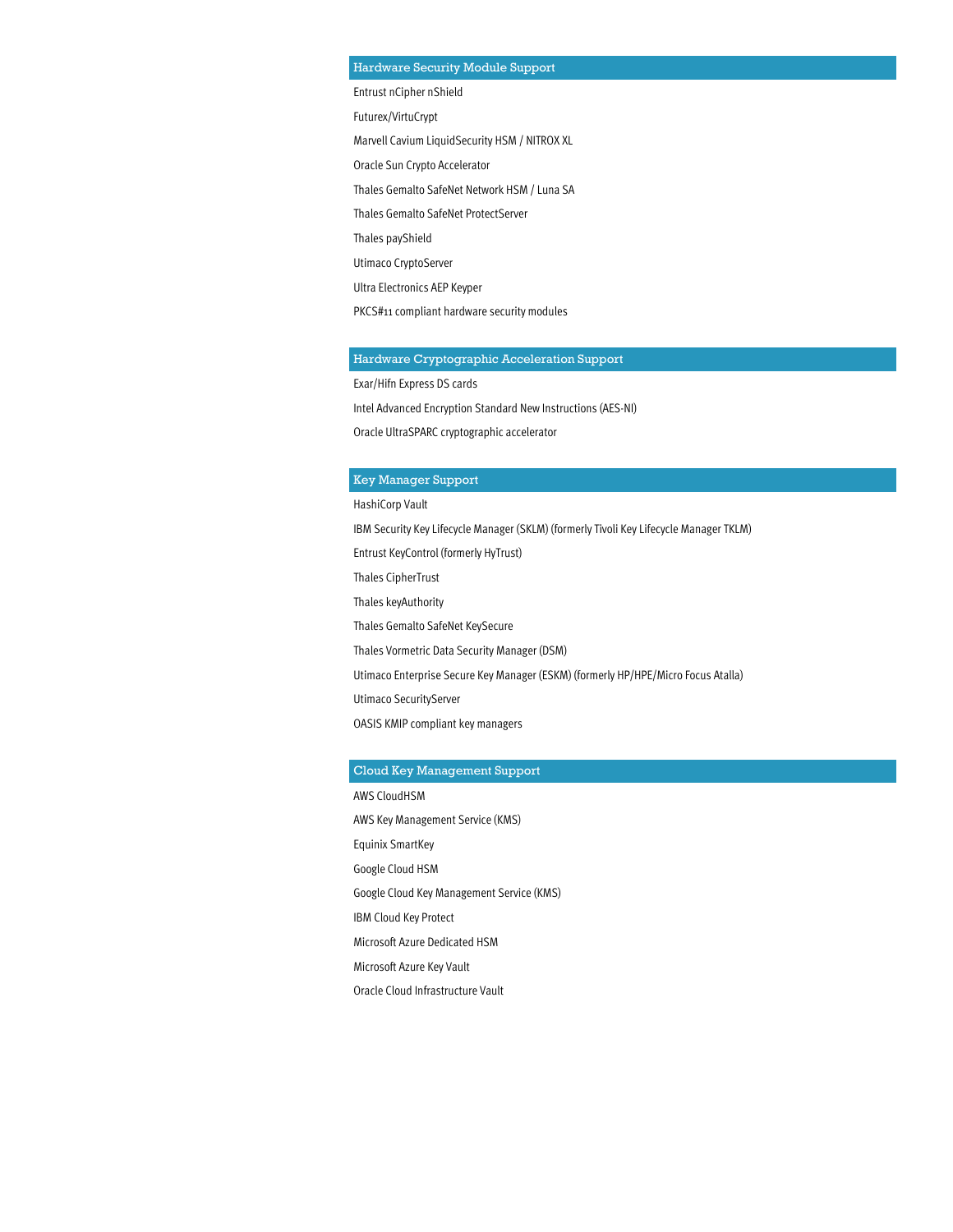#### Hardware Security Module Support

Entrust nCipher nShield Futurex/VirtuCrypt Marvell Cavium LiquidSecurity HSM / NITROX XL Oracle Sun Crypto Accelerator Thales Gemalto SafeNet Network HSM / Luna SA Thales Gemalto SafeNet ProtectServer Thales payShield Utimaco CryptoServer Ultra Electronics AEP Keyper PKCS#11 compliant hardware security modules

#### Hardware Cryptographic Acceleration Support

Exar/Hifn Express DS cards

Intel Advanced Encryption Standard New Instructions (AES-NI)

Oracle UltraSPARC cryptographic accelerator

#### Key Manager Support

HashiCorp Vault IBM Security Key Lifecycle Manager (SKLM) (formerly Tivoli Key Lifecycle Manager TKLM) Entrust KeyControl (formerly HyTrust) Thales CipherTrust Thales keyAuthority Thales Gemalto SafeNet KeySecure Thales Vormetric Data Security Manager (DSM) Utimaco Enterprise Secure Key Manager (ESKM) (formerly HP/HPE/Micro Focus Atalla) Utimaco SecurityServer OASIS KMIP compliant key managers

#### Cloud Key Management Support

AWS CloudHSM AWS Key Management Service (KMS) Equinix SmartKey Google Cloud HSM Google Cloud Key Management Service (KMS) IBM Cloud Key Protect Microsoft Azure Dedicated HSM Microsoft Azure Key Vault Oracle Cloud Infrastructure Vault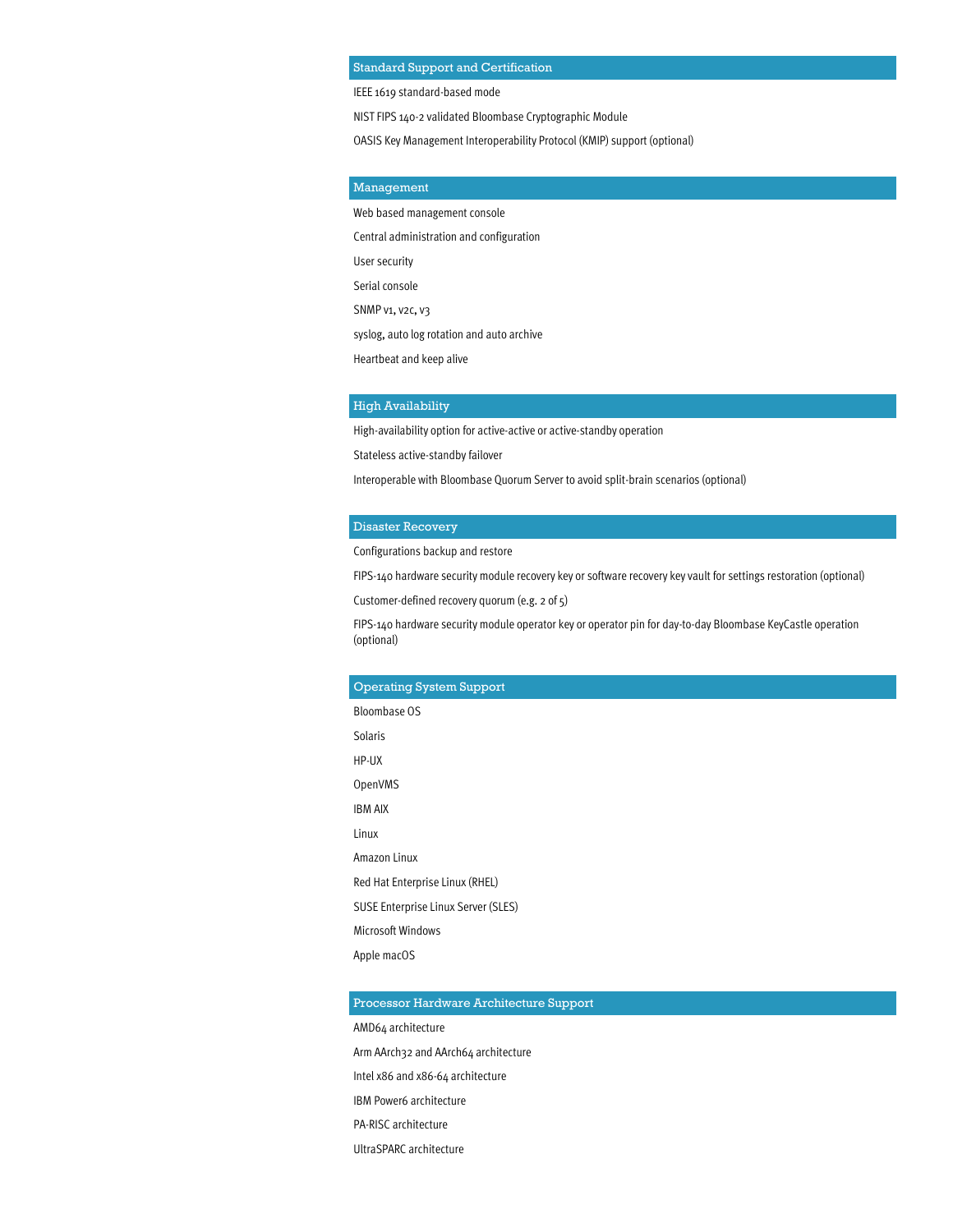#### Standard Support and Certification

IEEE 1619 standard-based mode

NIST FIPS 140-2 validated Bloombase Cryptographic Module

OASIS Key Management Interoperability Protocol (KMIP) support (optional)

#### Management

Web based management console

Central administration and configuration

User security

Serial console

SNMP v1, v2c, v3

syslog, auto log rotation and auto archive

Heartbeat and keep alive

#### High Availability

High-availability option for active-active or active-standby operation

Stateless active-standby failover

Interoperable with Bloombase Quorum Server to avoid split-brain scenarios (optional)

#### Disaster Recovery

Configurations backup and restore

FIPS-140 hardware security module recovery key or software recovery key vault for settings restoration (optional)

Customer-defined recovery quorum (e.g. 2 of 5)

FIPS-140 hardware security module operator key or operator pin for day-to-day Bloombase KeyCastle operation (optional)

#### Operating System Support

Bloombase OS

Solaris

HP-UX

OpenVMS

IBM AIX

Linux

Amazon Linux

Red Hat Enterprise Linux (RHEL)

SUSE Enterprise Linux Server (SLES)

Microsoft Windows

Apple macOS

#### Processor Hardware Architecture Support

AMD64 architecture

Arm AArch32 and AArch64 architecture

Intel x86 and x86-64 architecture

IBM Power6 architecture

PA-RISC architecture

UltraSPARC architecture